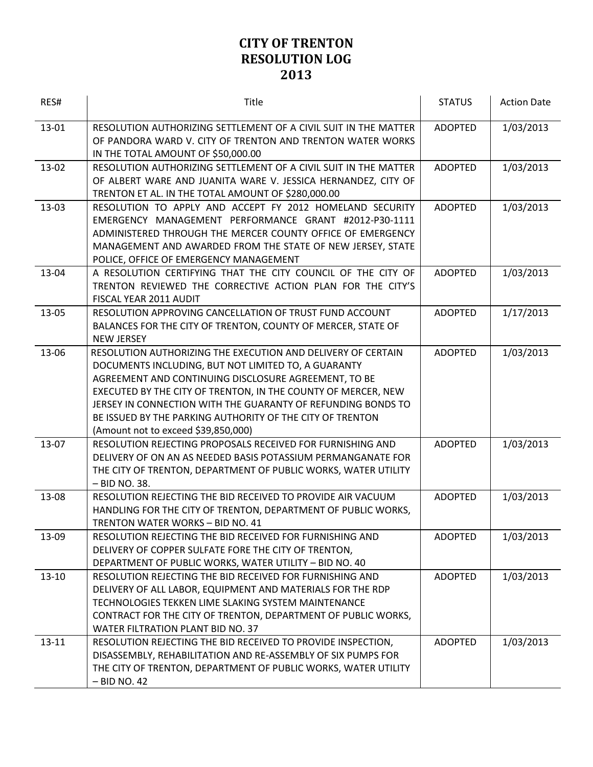| RES#      | Title                                                                                                                                                                                                                                                                                                                                                                                                            | <b>STATUS</b>  | <b>Action Date</b> |
|-----------|------------------------------------------------------------------------------------------------------------------------------------------------------------------------------------------------------------------------------------------------------------------------------------------------------------------------------------------------------------------------------------------------------------------|----------------|--------------------|
| 13-01     | RESOLUTION AUTHORIZING SETTLEMENT OF A CIVIL SUIT IN THE MATTER<br>OF PANDORA WARD V. CITY OF TRENTON AND TRENTON WATER WORKS<br>IN THE TOTAL AMOUNT OF \$50,000.00                                                                                                                                                                                                                                              | <b>ADOPTED</b> | 1/03/2013          |
| 13-02     | RESOLUTION AUTHORIZING SETTLEMENT OF A CIVIL SUIT IN THE MATTER<br>OF ALBERT WARE AND JUANITA WARE V. JESSICA HERNANDEZ, CITY OF<br>TRENTON ET AL. IN THE TOTAL AMOUNT OF \$280,000.00                                                                                                                                                                                                                           | <b>ADOPTED</b> | 1/03/2013          |
| 13-03     | RESOLUTION TO APPLY AND ACCEPT FY 2012 HOMELAND SECURITY<br>EMERGENCY MANAGEMENT PERFORMANCE GRANT #2012-P30-1111<br>ADMINISTERED THROUGH THE MERCER COUNTY OFFICE OF EMERGENCY<br>MANAGEMENT AND AWARDED FROM THE STATE OF NEW JERSEY, STATE<br>POLICE, OFFICE OF EMERGENCY MANAGEMENT                                                                                                                          | <b>ADOPTED</b> | 1/03/2013          |
| 13-04     | A RESOLUTION CERTIFYING THAT THE CITY COUNCIL OF THE CITY OF<br>TRENTON REVIEWED THE CORRECTIVE ACTION PLAN FOR THE CITY'S<br>FISCAL YEAR 2011 AUDIT                                                                                                                                                                                                                                                             | <b>ADOPTED</b> | 1/03/2013          |
| 13-05     | RESOLUTION APPROVING CANCELLATION OF TRUST FUND ACCOUNT<br>BALANCES FOR THE CITY OF TRENTON, COUNTY OF MERCER, STATE OF<br><b>NEW JERSEY</b>                                                                                                                                                                                                                                                                     | <b>ADOPTED</b> | 1/17/2013          |
| 13-06     | RESOLUTION AUTHORIZING THE EXECUTION AND DELIVERY OF CERTAIN<br>DOCUMENTS INCLUDING, BUT NOT LIMITED TO, A GUARANTY<br>AGREEMENT AND CONTINUING DISCLOSURE AGREEMENT, TO BE<br>EXECUTED BY THE CITY OF TRENTON, IN THE COUNTY OF MERCER, NEW<br>JERSEY IN CONNECTION WITH THE GUARANTY OF REFUNDING BONDS TO<br>BE ISSUED BY THE PARKING AUTHORITY OF THE CITY OF TRENTON<br>(Amount not to exceed \$39,850,000) | <b>ADOPTED</b> | 1/03/2013          |
| 13-07     | RESOLUTION REJECTING PROPOSALS RECEIVED FOR FURNISHING AND<br>DELIVERY OF ON AN AS NEEDED BASIS POTASSIUM PERMANGANATE FOR<br>THE CITY OF TRENTON, DEPARTMENT OF PUBLIC WORKS, WATER UTILITY<br>- BID NO. 38.                                                                                                                                                                                                    | <b>ADOPTED</b> | 1/03/2013          |
| 13-08     | RESOLUTION REJECTING THE BID RECEIVED TO PROVIDE AIR VACUUM<br>HANDLING FOR THE CITY OF TRENTON, DEPARTMENT OF PUBLIC WORKS,<br>TRENTON WATER WORKS - BID NO. 41                                                                                                                                                                                                                                                 | <b>ADOPTED</b> | 1/03/2013          |
| 13-09     | RESOLUTION REJECTING THE BID RECEIVED FOR FURNISHING AND<br>DELIVERY OF COPPER SULFATE FORE THE CITY OF TRENTON,<br>DEPARTMENT OF PUBLIC WORKS, WATER UTILITY - BID NO. 40                                                                                                                                                                                                                                       | <b>ADOPTED</b> | 1/03/2013          |
| $13 - 10$ | RESOLUTION REJECTING THE BID RECEIVED FOR FURNISHING AND<br>DELIVERY OF ALL LABOR, EQUIPMENT AND MATERIALS FOR THE RDP<br>TECHNOLOGIES TEKKEN LIME SLAKING SYSTEM MAINTENANCE<br>CONTRACT FOR THE CITY OF TRENTON, DEPARTMENT OF PUBLIC WORKS,<br>WATER FILTRATION PLANT BID NO. 37                                                                                                                              | ADOPTED        | 1/03/2013          |
| $13 - 11$ | RESOLUTION REJECTING THE BID RECEIVED TO PROVIDE INSPECTION,<br>DISASSEMBLY, REHABILITATION AND RE-ASSEMBLY OF SIX PUMPS FOR<br>THE CITY OF TRENTON, DEPARTMENT OF PUBLIC WORKS, WATER UTILITY<br>$-$ BID NO. 42                                                                                                                                                                                                 | <b>ADOPTED</b> | 1/03/2013          |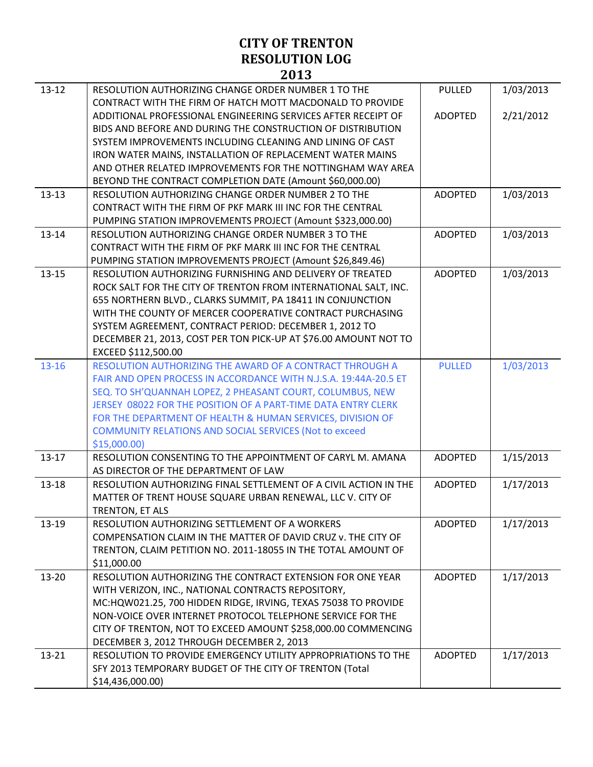| $13 - 12$ | RESOLUTION AUTHORIZING CHANGE ORDER NUMBER 1 TO THE              | <b>PULLED</b>  | 1/03/2013 |
|-----------|------------------------------------------------------------------|----------------|-----------|
|           | CONTRACT WITH THE FIRM OF HATCH MOTT MACDONALD TO PROVIDE        |                |           |
|           | ADDITIONAL PROFESSIONAL ENGINEERING SERVICES AFTER RECEIPT OF    | <b>ADOPTED</b> | 2/21/2012 |
|           | BIDS AND BEFORE AND DURING THE CONSTRUCTION OF DISTRIBUTION      |                |           |
|           | SYSTEM IMPROVEMENTS INCLUDING CLEANING AND LINING OF CAST        |                |           |
|           | IRON WATER MAINS, INSTALLATION OF REPLACEMENT WATER MAINS        |                |           |
|           | AND OTHER RELATED IMPROVEMENTS FOR THE NOTTINGHAM WAY AREA       |                |           |
|           | BEYOND THE CONTRACT COMPLETION DATE (Amount \$60,000.00)         |                |           |
| $13 - 13$ | RESOLUTION AUTHORIZING CHANGE ORDER NUMBER 2 TO THE              | <b>ADOPTED</b> | 1/03/2013 |
|           | CONTRACT WITH THE FIRM OF PKF MARK III INC FOR THE CENTRAL       |                |           |
|           | PUMPING STATION IMPROVEMENTS PROJECT (Amount \$323,000.00)       |                |           |
| $13 - 14$ | RESOLUTION AUTHORIZING CHANGE ORDER NUMBER 3 TO THE              | <b>ADOPTED</b> | 1/03/2013 |
|           | CONTRACT WITH THE FIRM OF PKF MARK III INC FOR THE CENTRAL       |                |           |
|           | PUMPING STATION IMPROVEMENTS PROJECT (Amount \$26,849.46)        |                |           |
| $13 - 15$ | RESOLUTION AUTHORIZING FURNISHING AND DELIVERY OF TREATED        | <b>ADOPTED</b> | 1/03/2013 |
|           | ROCK SALT FOR THE CITY OF TRENTON FROM INTERNATIONAL SALT, INC.  |                |           |
|           | 655 NORTHERN BLVD., CLARKS SUMMIT, PA 18411 IN CONJUNCTION       |                |           |
|           | WITH THE COUNTY OF MERCER COOPERATIVE CONTRACT PURCHASING        |                |           |
|           | SYSTEM AGREEMENT, CONTRACT PERIOD: DECEMBER 1, 2012 TO           |                |           |
|           | DECEMBER 21, 2013, COST PER TON PICK-UP AT \$76.00 AMOUNT NOT TO |                |           |
|           | EXCEED \$112,500.00                                              |                |           |
| $13 - 16$ | RESOLUTION AUTHORIZING THE AWARD OF A CONTRACT THROUGH A         | <b>PULLED</b>  | 1/03/2013 |
|           | FAIR AND OPEN PROCESS IN ACCORDANCE WITH N.J.S.A. 19:44A-20.5 ET |                |           |
|           | SEQ. TO SH'QUANNAH LOPEZ, 2 PHEASANT COURT, COLUMBUS, NEW        |                |           |
|           | JERSEY 08022 FOR THE POSITION OF A PART-TIME DATA ENTRY CLERK    |                |           |
|           | FOR THE DEPARTMENT OF HEALTH & HUMAN SERVICES, DIVISION OF       |                |           |
|           | COMMUNITY RELATIONS AND SOCIAL SERVICES (Not to exceed           |                |           |
|           | \$15,000.00]                                                     |                |           |
| $13 - 17$ | RESOLUTION CONSENTING TO THE APPOINTMENT OF CARYL M. AMANA       | <b>ADOPTED</b> | 1/15/2013 |
|           | AS DIRECTOR OF THE DEPARTMENT OF LAW                             |                |           |
| 13-18     | RESOLUTION AUTHORIZING FINAL SETTLEMENT OF A CIVIL ACTION IN THE | <b>ADOPTED</b> | 1/17/2013 |
|           | MATTER OF TRENT HOUSE SQUARE URBAN RENEWAL, LLC V. CITY OF       |                |           |
|           | TRENTON, ET ALS                                                  |                |           |
| 13-19     | RESOLUTION AUTHORIZING SETTLEMENT OF A WORKERS                   | <b>ADOPTED</b> | 1/17/2013 |
|           | COMPENSATION CLAIM IN THE MATTER OF DAVID CRUZ v. THE CITY OF    |                |           |
|           | TRENTON, CLAIM PETITION NO. 2011-18055 IN THE TOTAL AMOUNT OF    |                |           |
|           | \$11,000.00                                                      |                |           |
| $13 - 20$ | RESOLUTION AUTHORIZING THE CONTRACT EXTENSION FOR ONE YEAR       | <b>ADOPTED</b> | 1/17/2013 |
|           | WITH VERIZON, INC., NATIONAL CONTRACTS REPOSITORY,               |                |           |
|           | MC:HQW021.25, 700 HIDDEN RIDGE, IRVING, TEXAS 75038 TO PROVIDE   |                |           |
|           | NON-VOICE OVER INTERNET PROTOCOL TELEPHONE SERVICE FOR THE       |                |           |
|           | CITY OF TRENTON, NOT TO EXCEED AMOUNT \$258,000.00 COMMENCING    |                |           |
|           | DECEMBER 3, 2012 THROUGH DECEMBER 2, 2013                        |                |           |
| $13 - 21$ | RESOLUTION TO PROVIDE EMERGENCY UTILITY APPROPRIATIONS TO THE    | <b>ADOPTED</b> | 1/17/2013 |
|           | SFY 2013 TEMPORARY BUDGET OF THE CITY OF TRENTON (Total          |                |           |
|           | \$14,436,000.00)                                                 |                |           |
|           |                                                                  |                |           |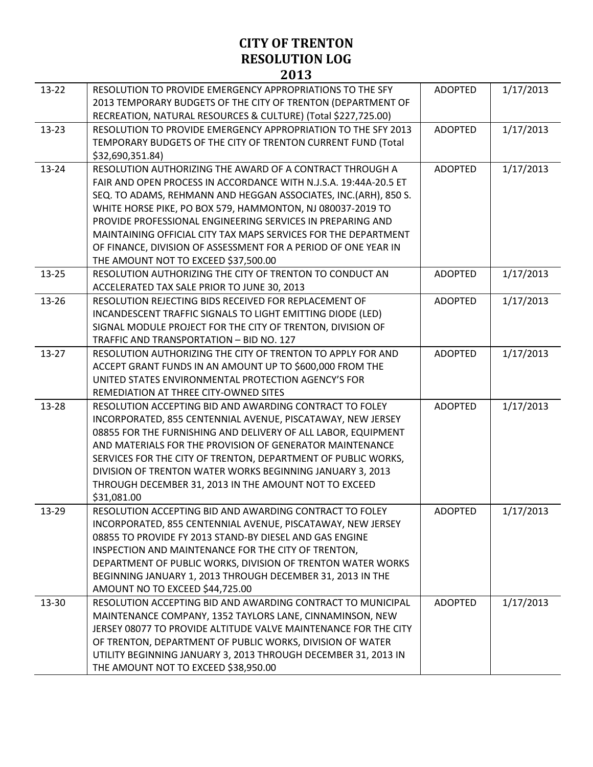| $13 - 22$ | RESOLUTION TO PROVIDE EMERGENCY APPROPRIATIONS TO THE SFY                                                                     | <b>ADOPTED</b> | 1/17/2013 |
|-----------|-------------------------------------------------------------------------------------------------------------------------------|----------------|-----------|
|           | 2013 TEMPORARY BUDGETS OF THE CITY OF TRENTON (DEPARTMENT OF<br>RECREATION, NATURAL RESOURCES & CULTURE) (Total \$227,725.00) |                |           |
| 13-23     | RESOLUTION TO PROVIDE EMERGENCY APPROPRIATION TO THE SFY 2013                                                                 | <b>ADOPTED</b> | 1/17/2013 |
|           | TEMPORARY BUDGETS OF THE CITY OF TRENTON CURRENT FUND (Total                                                                  |                |           |
|           | \$32,690,351.84)                                                                                                              |                |           |
| 13-24     | RESOLUTION AUTHORIZING THE AWARD OF A CONTRACT THROUGH A                                                                      | <b>ADOPTED</b> | 1/17/2013 |
|           | FAIR AND OPEN PROCESS IN ACCORDANCE WITH N.J.S.A. 19:44A-20.5 ET                                                              |                |           |
|           | SEQ. TO ADAMS, REHMANN AND HEGGAN ASSOCIATES, INC.(ARH), 850 S.                                                               |                |           |
|           | WHITE HORSE PIKE, PO BOX 579, HAMMONTON, NJ 080037-2019 TO                                                                    |                |           |
|           | PROVIDE PROFESSIONAL ENGINEERING SERVICES IN PREPARING AND                                                                    |                |           |
|           | MAINTAINING OFFICIAL CITY TAX MAPS SERVICES FOR THE DEPARTMENT                                                                |                |           |
|           | OF FINANCE, DIVISION OF ASSESSMENT FOR A PERIOD OF ONE YEAR IN                                                                |                |           |
|           | THE AMOUNT NOT TO EXCEED \$37,500.00                                                                                          |                |           |
| 13-25     | RESOLUTION AUTHORIZING THE CITY OF TRENTON TO CONDUCT AN                                                                      | <b>ADOPTED</b> | 1/17/2013 |
|           | ACCELERATED TAX SALE PRIOR TO JUNE 30, 2013                                                                                   |                |           |
| 13-26     | RESOLUTION REJECTING BIDS RECEIVED FOR REPLACEMENT OF                                                                         | <b>ADOPTED</b> | 1/17/2013 |
|           | INCANDESCENT TRAFFIC SIGNALS TO LIGHT EMITTING DIODE (LED)                                                                    |                |           |
|           | SIGNAL MODULE PROJECT FOR THE CITY OF TRENTON, DIVISION OF                                                                    |                |           |
|           | TRAFFIC AND TRANSPORTATION - BID NO. 127                                                                                      |                |           |
| 13-27     | RESOLUTION AUTHORIZING THE CITY OF TRENTON TO APPLY FOR AND                                                                   | <b>ADOPTED</b> | 1/17/2013 |
|           | ACCEPT GRANT FUNDS IN AN AMOUNT UP TO \$600,000 FROM THE                                                                      |                |           |
|           | UNITED STATES ENVIRONMENTAL PROTECTION AGENCY'S FOR                                                                           |                |           |
|           | REMEDIATION AT THREE CITY-OWNED SITES                                                                                         |                |           |
| 13-28     | RESOLUTION ACCEPTING BID AND AWARDING CONTRACT TO FOLEY                                                                       | <b>ADOPTED</b> | 1/17/2013 |
|           | INCORPORATED, 855 CENTENNIAL AVENUE, PISCATAWAY, NEW JERSEY                                                                   |                |           |
|           | 08855 FOR THE FURNISHING AND DELIVERY OF ALL LABOR, EQUIPMENT                                                                 |                |           |
|           | AND MATERIALS FOR THE PROVISION OF GENERATOR MAINTENANCE                                                                      |                |           |
|           | SERVICES FOR THE CITY OF TRENTON, DEPARTMENT OF PUBLIC WORKS,                                                                 |                |           |
|           | DIVISION OF TRENTON WATER WORKS BEGINNING JANUARY 3, 2013                                                                     |                |           |
|           | THROUGH DECEMBER 31, 2013 IN THE AMOUNT NOT TO EXCEED                                                                         |                |           |
|           | \$31,081.00                                                                                                                   |                |           |
| 13-29     | RESOLUTION ACCEPTING BID AND AWARDING CONTRACT TO FOLEY                                                                       | <b>ADOPTED</b> | 1/17/2013 |
|           | INCORPORATED, 855 CENTENNIAL AVENUE, PISCATAWAY, NEW JERSEY                                                                   |                |           |
|           | 08855 TO PROVIDE FY 2013 STAND-BY DIESEL AND GAS ENGINE                                                                       |                |           |
|           | INSPECTION AND MAINTENANCE FOR THE CITY OF TRENTON,                                                                           |                |           |
|           | DEPARTMENT OF PUBLIC WORKS, DIVISION OF TRENTON WATER WORKS                                                                   |                |           |
|           | BEGINNING JANUARY 1, 2013 THROUGH DECEMBER 31, 2013 IN THE                                                                    |                |           |
|           | AMOUNT NO TO EXCEED \$44,725.00                                                                                               |                |           |
| 13-30     | RESOLUTION ACCEPTING BID AND AWARDING CONTRACT TO MUNICIPAL                                                                   | <b>ADOPTED</b> | 1/17/2013 |
|           | MAINTENANCE COMPANY, 1352 TAYLORS LANE, CINNAMINSON, NEW                                                                      |                |           |
|           | JERSEY 08077 TO PROVIDE ALTITUDE VALVE MAINTENANCE FOR THE CITY                                                               |                |           |
|           | OF TRENTON, DEPARTMENT OF PUBLIC WORKS, DIVISION OF WATER                                                                     |                |           |
|           | UTILITY BEGINNING JANUARY 3, 2013 THROUGH DECEMBER 31, 2013 IN                                                                |                |           |
|           | THE AMOUNT NOT TO EXCEED \$38,950.00                                                                                          |                |           |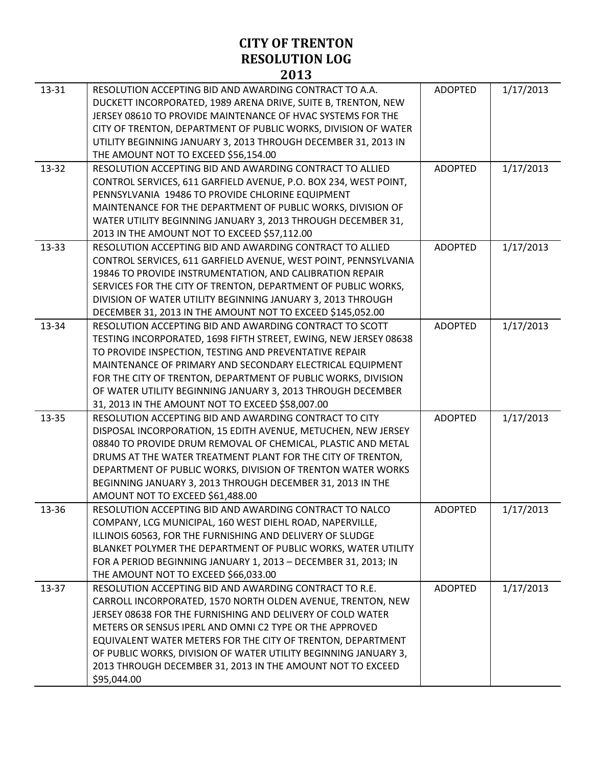|       | 201J                                                                                                                                                                                                                                                                                                                                                                                                                                                          |                |           |
|-------|---------------------------------------------------------------------------------------------------------------------------------------------------------------------------------------------------------------------------------------------------------------------------------------------------------------------------------------------------------------------------------------------------------------------------------------------------------------|----------------|-----------|
| 13-31 | RESOLUTION ACCEPTING BID AND AWARDING CONTRACT TO A.A.<br>DUCKETT INCORPORATED, 1989 ARENA DRIVE, SUITE B, TRENTON, NEW<br>JERSEY 08610 TO PROVIDE MAINTENANCE OF HVAC SYSTEMS FOR THE<br>CITY OF TRENTON, DEPARTMENT OF PUBLIC WORKS, DIVISION OF WATER<br>UTILITY BEGINNING JANUARY 3, 2013 THROUGH DECEMBER 31, 2013 IN<br>THE AMOUNT NOT TO EXCEED \$56,154.00                                                                                            | <b>ADOPTED</b> | 1/17/2013 |
| 13-32 | RESOLUTION ACCEPTING BID AND AWARDING CONTRACT TO ALLIED<br>CONTROL SERVICES, 611 GARFIELD AVENUE, P.O. BOX 234, WEST POINT,<br>PENNSYLVANIA 19486 TO PROVIDE CHLORINE EQUIPMENT<br>MAINTENANCE FOR THE DEPARTMENT OF PUBLIC WORKS, DIVISION OF<br>WATER UTILITY BEGINNING JANUARY 3, 2013 THROUGH DECEMBER 31,<br>2013 IN THE AMOUNT NOT TO EXCEED \$57,112.00                                                                                               | <b>ADOPTED</b> | 1/17/2013 |
| 13-33 | RESOLUTION ACCEPTING BID AND AWARDING CONTRACT TO ALLIED<br>CONTROL SERVICES, 611 GARFIELD AVENUE, WEST POINT, PENNSYLVANIA<br>19846 TO PROVIDE INSTRUMENTATION, AND CALIBRATION REPAIR<br>SERVICES FOR THE CITY OF TRENTON, DEPARTMENT OF PUBLIC WORKS,<br>DIVISION OF WATER UTILITY BEGINNING JANUARY 3, 2013 THROUGH<br>DECEMBER 31, 2013 IN THE AMOUNT NOT TO EXCEED \$145,052.00                                                                         | <b>ADOPTED</b> | 1/17/2013 |
| 13-34 | RESOLUTION ACCEPTING BID AND AWARDING CONTRACT TO SCOTT<br>TESTING INCORPORATED, 1698 FIFTH STREET, EWING, NEW JERSEY 08638<br>TO PROVIDE INSPECTION, TESTING AND PREVENTATIVE REPAIR<br>MAINTENANCE OF PRIMARY AND SECONDARY ELECTRICAL EQUIPMENT<br>FOR THE CITY OF TRENTON, DEPARTMENT OF PUBLIC WORKS, DIVISION<br>OF WATER UTILITY BEGINNING JANUARY 3, 2013 THROUGH DECEMBER<br>31, 2013 IN THE AMOUNT NOT TO EXCEED \$58,007.00                        | <b>ADOPTED</b> | 1/17/2013 |
| 13-35 | RESOLUTION ACCEPTING BID AND AWARDING CONTRACT TO CITY<br>DISPOSAL INCORPORATION, 15 EDITH AVENUE, METUCHEN, NEW JERSEY<br>08840 TO PROVIDE DRUM REMOVAL OF CHEMICAL, PLASTIC AND METAL<br>DRUMS AT THE WATER TREATMENT PLANT FOR THE CITY OF TRENTON,<br>DEPARTMENT OF PUBLIC WORKS, DIVISION OF TRENTON WATER WORKS<br>BEGINNING JANUARY 3, 2013 THROUGH DECEMBER 31, 2013 IN THE<br>AMOUNT NOT TO EXCEED \$61,488.00                                       | <b>ADOPTED</b> | 1/17/2013 |
| 13-36 | RESOLUTION ACCEPTING BID AND AWARDING CONTRACT TO NALCO<br>COMPANY, LCG MUNICIPAL, 160 WEST DIEHL ROAD, NAPERVILLE,<br>ILLINOIS 60563, FOR THE FURNISHING AND DELIVERY OF SLUDGE<br>BLANKET POLYMER THE DEPARTMENT OF PUBLIC WORKS, WATER UTILITY<br>FOR A PERIOD BEGINNING JANUARY 1, 2013 - DECEMBER 31, 2013; IN<br>THE AMOUNT NOT TO EXCEED \$66,033.00                                                                                                   | ADOPTFD        | 1/17/2013 |
| 13-37 | RESOLUTION ACCEPTING BID AND AWARDING CONTRACT TO R.E.<br>CARROLL INCORPORATED, 1570 NORTH OLDEN AVENUE, TRENTON, NEW<br>JERSEY 08638 FOR THE FURNISHING AND DELIVERY OF COLD WATER<br>METERS OR SENSUS IPERL AND OMNI C2 TYPE OR THE APPROVED<br>EQUIVALENT WATER METERS FOR THE CITY OF TRENTON, DEPARTMENT<br>OF PUBLIC WORKS, DIVISION OF WATER UTILITY BEGINNING JANUARY 3,<br>2013 THROUGH DECEMBER 31, 2013 IN THE AMOUNT NOT TO EXCEED<br>\$95,044.00 | <b>ADOPTED</b> | 1/17/2013 |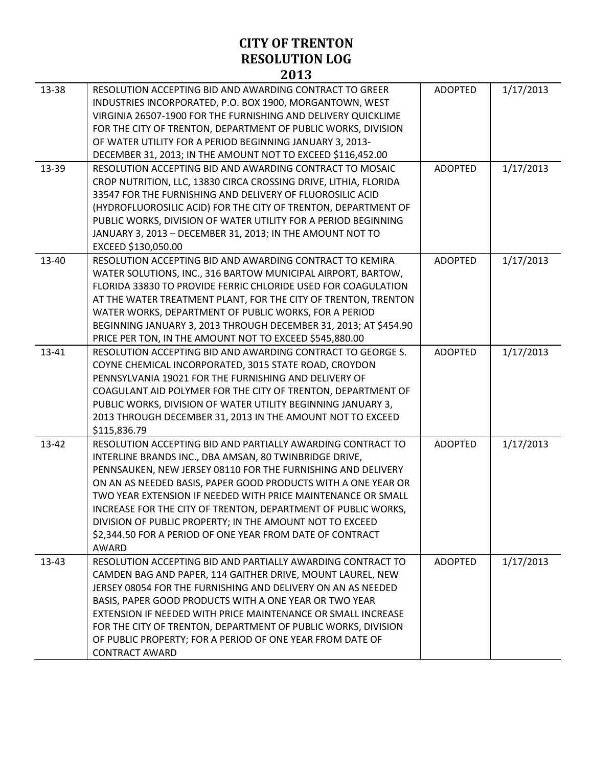| 13-38 | RESOLUTION ACCEPTING BID AND AWARDING CONTRACT TO GREER<br>INDUSTRIES INCORPORATED, P.O. BOX 1900, MORGANTOWN, WEST<br>VIRGINIA 26507-1900 FOR THE FURNISHING AND DELIVERY QUICKLIME<br>FOR THE CITY OF TRENTON, DEPARTMENT OF PUBLIC WORKS, DIVISION<br>OF WATER UTILITY FOR A PERIOD BEGINNING JANUARY 3, 2013-<br>DECEMBER 31, 2013; IN THE AMOUNT NOT TO EXCEED \$116,452.00                                                                                                                                          | <b>ADOPTED</b> | 1/17/2013 |
|-------|---------------------------------------------------------------------------------------------------------------------------------------------------------------------------------------------------------------------------------------------------------------------------------------------------------------------------------------------------------------------------------------------------------------------------------------------------------------------------------------------------------------------------|----------------|-----------|
| 13-39 | RESOLUTION ACCEPTING BID AND AWARDING CONTRACT TO MOSAIC<br>CROP NUTRITION, LLC, 13830 CIRCA CROSSING DRIVE, LITHIA, FLORIDA<br>33547 FOR THE FURNISHING AND DELIVERY OF FLUOROSILIC ACID<br>(HYDROFLUOROSILIC ACID) FOR THE CITY OF TRENTON, DEPARTMENT OF<br>PUBLIC WORKS, DIVISION OF WATER UTILITY FOR A PERIOD BEGINNING<br>JANUARY 3, 2013 - DECEMBER 31, 2013; IN THE AMOUNT NOT TO<br>EXCEED \$130,050.00                                                                                                         | <b>ADOPTED</b> | 1/17/2013 |
| 13-40 | RESOLUTION ACCEPTING BID AND AWARDING CONTRACT TO KEMIRA<br>WATER SOLUTIONS, INC., 316 BARTOW MUNICIPAL AIRPORT, BARTOW,<br>FLORIDA 33830 TO PROVIDE FERRIC CHLORIDE USED FOR COAGULATION<br>AT THE WATER TREATMENT PLANT, FOR THE CITY OF TRENTON, TRENTON<br>WATER WORKS, DEPARTMENT OF PUBLIC WORKS, FOR A PERIOD<br>BEGINNING JANUARY 3, 2013 THROUGH DECEMBER 31, 2013; AT \$454.90<br>PRICE PER TON, IN THE AMOUNT NOT TO EXCEED \$545,880.00                                                                       | <b>ADOPTED</b> | 1/17/2013 |
| 13-41 | RESOLUTION ACCEPTING BID AND AWARDING CONTRACT TO GEORGE S.<br>COYNE CHEMICAL INCORPORATED, 3015 STATE ROAD, CROYDON<br>PENNSYLVANIA 19021 FOR THE FURNISHING AND DELIVERY OF<br>COAGULANT AID POLYMER FOR THE CITY OF TRENTON, DEPARTMENT OF<br>PUBLIC WORKS, DIVISION OF WATER UTILITY BEGINNING JANUARY 3,<br>2013 THROUGH DECEMBER 31, 2013 IN THE AMOUNT NOT TO EXCEED<br>\$115,836.79                                                                                                                               | <b>ADOPTED</b> | 1/17/2013 |
| 13-42 | RESOLUTION ACCEPTING BID AND PARTIALLY AWARDING CONTRACT TO<br>INTERLINE BRANDS INC., DBA AMSAN, 80 TWINBRIDGE DRIVE,<br>PENNSAUKEN, NEW JERSEY 08110 FOR THE FURNISHING AND DELIVERY<br>ON AN AS NEEDED BASIS, PAPER GOOD PRODUCTS WITH A ONE YEAR OR<br>TWO YEAR EXTENSION IF NEEDED WITH PRICE MAINTENANCE OR SMALL<br>INCREASE FOR THE CITY OF TRENTON, DEPARTMENT OF PUBLIC WORKS,<br>DIVISION OF PUBLIC PROPERTY; IN THE AMOUNT NOT TO EXCEED<br>\$2,344.50 FOR A PERIOD OF ONE YEAR FROM DATE OF CONTRACT<br>AWARD | <b>ADOPTED</b> | 1/17/2013 |
| 13-43 | RESOLUTION ACCEPTING BID AND PARTIALLY AWARDING CONTRACT TO<br>CAMDEN BAG AND PAPER, 114 GAITHER DRIVE, MOUNT LAUREL, NEW<br>JERSEY 08054 FOR THE FURNISHING AND DELIVERY ON AN AS NEEDED<br>BASIS, PAPER GOOD PRODUCTS WITH A ONE YEAR OR TWO YEAR<br>EXTENSION IF NEEDED WITH PRICE MAINTENANCE OR SMALL INCREASE<br>FOR THE CITY OF TRENTON, DEPARTMENT OF PUBLIC WORKS, DIVISION<br>OF PUBLIC PROPERTY; FOR A PERIOD OF ONE YEAR FROM DATE OF<br><b>CONTRACT AWARD</b>                                                | <b>ADOPTED</b> | 1/17/2013 |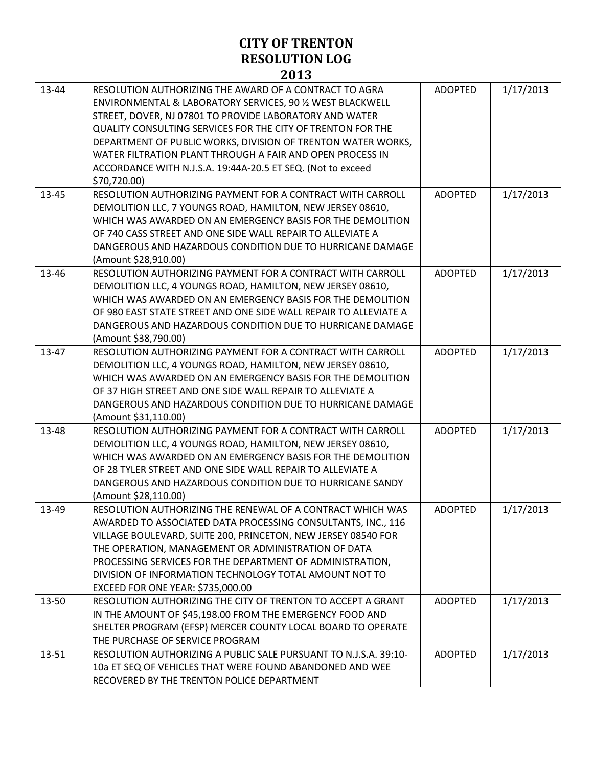| 13-44 | RESOLUTION AUTHORIZING THE AWARD OF A CONTRACT TO AGRA<br>ENVIRONMENTAL & LABORATORY SERVICES, 90 % WEST BLACKWELL<br>STREET, DOVER, NJ 07801 TO PROVIDE LABORATORY AND WATER<br>QUALITY CONSULTING SERVICES FOR THE CITY OF TRENTON FOR THE<br>DEPARTMENT OF PUBLIC WORKS, DIVISION OF TRENTON WATER WORKS,<br>WATER FILTRATION PLANT THROUGH A FAIR AND OPEN PROCESS IN<br>ACCORDANCE WITH N.J.S.A. 19:44A-20.5 ET SEQ. (Not to exceed<br>\$70,720.00) | <b>ADOPTED</b> | 1/17/2013 |
|-------|----------------------------------------------------------------------------------------------------------------------------------------------------------------------------------------------------------------------------------------------------------------------------------------------------------------------------------------------------------------------------------------------------------------------------------------------------------|----------------|-----------|
| 13-45 | RESOLUTION AUTHORIZING PAYMENT FOR A CONTRACT WITH CARROLL<br>DEMOLITION LLC, 7 YOUNGS ROAD, HAMILTON, NEW JERSEY 08610,<br>WHICH WAS AWARDED ON AN EMERGENCY BASIS FOR THE DEMOLITION<br>OF 740 CASS STREET AND ONE SIDE WALL REPAIR TO ALLEVIATE A<br>DANGEROUS AND HAZARDOUS CONDITION DUE TO HURRICANE DAMAGE<br>(Amount \$28,910.00)                                                                                                                | <b>ADOPTED</b> | 1/17/2013 |
| 13-46 | RESOLUTION AUTHORIZING PAYMENT FOR A CONTRACT WITH CARROLL<br>DEMOLITION LLC, 4 YOUNGS ROAD, HAMILTON, NEW JERSEY 08610,<br>WHICH WAS AWARDED ON AN EMERGENCY BASIS FOR THE DEMOLITION<br>OF 980 EAST STATE STREET AND ONE SIDE WALL REPAIR TO ALLEVIATE A<br>DANGEROUS AND HAZARDOUS CONDITION DUE TO HURRICANE DAMAGE<br>(Amount \$38,790.00)                                                                                                          | <b>ADOPTED</b> | 1/17/2013 |
| 13-47 | RESOLUTION AUTHORIZING PAYMENT FOR A CONTRACT WITH CARROLL<br>DEMOLITION LLC, 4 YOUNGS ROAD, HAMILTON, NEW JERSEY 08610,<br>WHICH WAS AWARDED ON AN EMERGENCY BASIS FOR THE DEMOLITION<br>OF 37 HIGH STREET AND ONE SIDE WALL REPAIR TO ALLEVIATE A<br>DANGEROUS AND HAZARDOUS CONDITION DUE TO HURRICANE DAMAGE<br>(Amount \$31,110.00)                                                                                                                 | <b>ADOPTED</b> | 1/17/2013 |
| 13-48 | RESOLUTION AUTHORIZING PAYMENT FOR A CONTRACT WITH CARROLL<br>DEMOLITION LLC, 4 YOUNGS ROAD, HAMILTON, NEW JERSEY 08610,<br>WHICH WAS AWARDED ON AN EMERGENCY BASIS FOR THE DEMOLITION<br>OF 28 TYLER STREET AND ONE SIDE WALL REPAIR TO ALLEVIATE A<br>DANGEROUS AND HAZARDOUS CONDITION DUE TO HURRICANE SANDY<br>(Amount \$28,110.00)                                                                                                                 | <b>ADOPTED</b> | 1/17/2013 |
| 13-49 | RESOLUTION AUTHORIZING THE RENEWAL OF A CONTRACT WHICH WAS<br>AWARDED TO ASSOCIATED DATA PROCESSING CONSULTANTS, INC., 116<br>VILLAGE BOULEVARD, SUITE 200, PRINCETON, NEW JERSEY 08540 FOR<br>THE OPERATION, MANAGEMENT OR ADMINISTRATION OF DATA<br>PROCESSING SERVICES FOR THE DEPARTMENT OF ADMINISTRATION,<br>DIVISION OF INFORMATION TECHNOLOGY TOTAL AMOUNT NOT TO<br>EXCEED FOR ONE YEAR: \$735,000.00                                           | <b>ADOPTED</b> | 1/17/2013 |
| 13-50 | RESOLUTION AUTHORIZING THE CITY OF TRENTON TO ACCEPT A GRANT<br>IN THE AMOUNT OF \$45,198.00 FROM THE EMERGENCY FOOD AND<br>SHELTER PROGRAM (EFSP) MERCER COUNTY LOCAL BOARD TO OPERATE<br>THE PURCHASE OF SERVICE PROGRAM                                                                                                                                                                                                                               | <b>ADOPTED</b> | 1/17/2013 |
| 13-51 | RESOLUTION AUTHORIZING A PUBLIC SALE PURSUANT TO N.J.S.A. 39:10-<br>10a ET SEQ OF VEHICLES THAT WERE FOUND ABANDONED AND WEE<br>RECOVERED BY THE TRENTON POLICE DEPARTMENT                                                                                                                                                                                                                                                                               | <b>ADOPTED</b> | 1/17/2013 |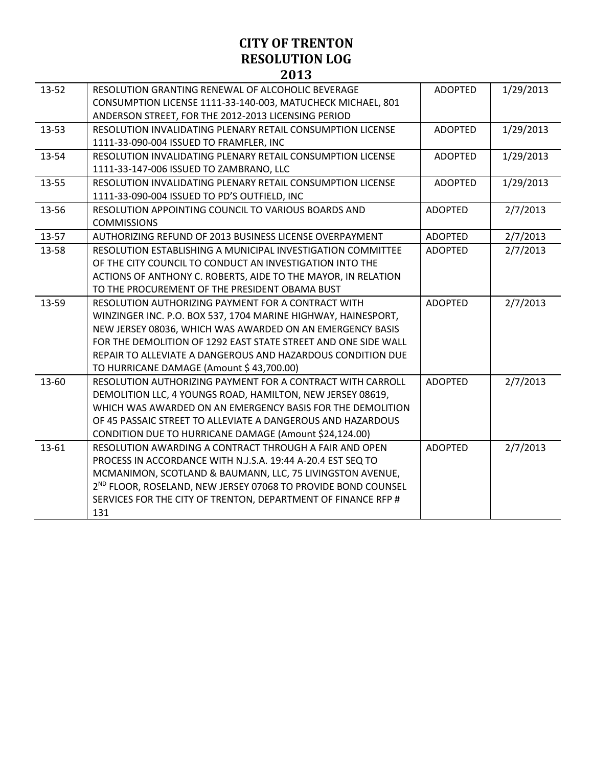| 13-52 | RESOLUTION GRANTING RENEWAL OF ALCOHOLIC BEVERAGE                         | <b>ADOPTED</b> | 1/29/2013 |
|-------|---------------------------------------------------------------------------|----------------|-----------|
|       | CONSUMPTION LICENSE 1111-33-140-003, MATUCHECK MICHAEL, 801               |                |           |
|       | ANDERSON STREET, FOR THE 2012-2013 LICENSING PERIOD                       |                |           |
| 13-53 | RESOLUTION INVALIDATING PLENARY RETAIL CONSUMPTION LICENSE                | <b>ADOPTED</b> | 1/29/2013 |
|       | 1111-33-090-004 ISSUED TO FRAMFLER, INC                                   |                |           |
| 13-54 | RESOLUTION INVALIDATING PLENARY RETAIL CONSUMPTION LICENSE                | <b>ADOPTED</b> | 1/29/2013 |
|       | 1111-33-147-006 ISSUED TO ZAMBRANO, LLC                                   |                |           |
| 13-55 | RESOLUTION INVALIDATING PLENARY RETAIL CONSUMPTION LICENSE                | <b>ADOPTED</b> | 1/29/2013 |
|       | 1111-33-090-004 ISSUED TO PD'S OUTFIELD, INC                              |                |           |
| 13-56 | RESOLUTION APPOINTING COUNCIL TO VARIOUS BOARDS AND                       | <b>ADOPTED</b> | 2/7/2013  |
|       | <b>COMMISSIONS</b>                                                        |                |           |
| 13-57 | AUTHORIZING REFUND OF 2013 BUSINESS LICENSE OVERPAYMENT                   | <b>ADOPTED</b> | 2/7/2013  |
| 13-58 | RESOLUTION ESTABLISHING A MUNICIPAL INVESTIGATION COMMITTEE               | <b>ADOPTED</b> | 2/7/2013  |
|       | OF THE CITY COUNCIL TO CONDUCT AN INVESTIGATION INTO THE                  |                |           |
|       | ACTIONS OF ANTHONY C. ROBERTS, AIDE TO THE MAYOR, IN RELATION             |                |           |
|       | TO THE PROCUREMENT OF THE PRESIDENT OBAMA BUST                            |                |           |
| 13-59 | RESOLUTION AUTHORIZING PAYMENT FOR A CONTRACT WITH                        | <b>ADOPTED</b> | 2/7/2013  |
|       | WINZINGER INC. P.O. BOX 537, 1704 MARINE HIGHWAY, HAINESPORT,             |                |           |
|       | NEW JERSEY 08036, WHICH WAS AWARDED ON AN EMERGENCY BASIS                 |                |           |
|       | FOR THE DEMOLITION OF 1292 EAST STATE STREET AND ONE SIDE WALL            |                |           |
|       | REPAIR TO ALLEVIATE A DANGEROUS AND HAZARDOUS CONDITION DUE               |                |           |
|       | TO HURRICANE DAMAGE (Amount \$43,700.00)                                  |                |           |
| 13-60 | RESOLUTION AUTHORIZING PAYMENT FOR A CONTRACT WITH CARROLL                | <b>ADOPTED</b> | 2/7/2013  |
|       | DEMOLITION LLC, 4 YOUNGS ROAD, HAMILTON, NEW JERSEY 08619,                |                |           |
|       | WHICH WAS AWARDED ON AN EMERGENCY BASIS FOR THE DEMOLITION                |                |           |
|       | OF 45 PASSAIC STREET TO ALLEVIATE A DANGEROUS AND HAZARDOUS               |                |           |
|       | CONDITION DUE TO HURRICANE DAMAGE (Amount \$24,124.00)                    |                |           |
| 13-61 | RESOLUTION AWARDING A CONTRACT THROUGH A FAIR AND OPEN                    | <b>ADOPTED</b> | 2/7/2013  |
|       | PROCESS IN ACCORDANCE WITH N.J.S.A. 19:44 A-20.4 EST SEQ TO               |                |           |
|       | MCMANIMON, SCOTLAND & BAUMANN, LLC, 75 LIVINGSTON AVENUE,                 |                |           |
|       | 2 <sup>ND</sup> FLOOR, ROSELAND, NEW JERSEY 07068 TO PROVIDE BOND COUNSEL |                |           |
|       | SERVICES FOR THE CITY OF TRENTON, DEPARTMENT OF FINANCE RFP #             |                |           |
|       | 131                                                                       |                |           |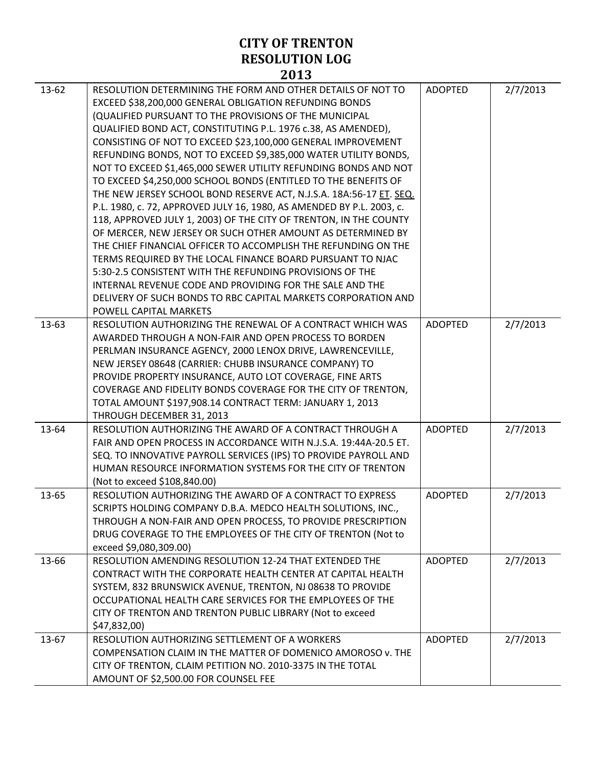|       | AVIJ                                                                                                                                                                                                                                                                                                                                                                                                                                                                                                                                                                                                                                                                                                                                                                                                                                                                                                                                                                                                                                                                                                                                                             |                |          |
|-------|------------------------------------------------------------------------------------------------------------------------------------------------------------------------------------------------------------------------------------------------------------------------------------------------------------------------------------------------------------------------------------------------------------------------------------------------------------------------------------------------------------------------------------------------------------------------------------------------------------------------------------------------------------------------------------------------------------------------------------------------------------------------------------------------------------------------------------------------------------------------------------------------------------------------------------------------------------------------------------------------------------------------------------------------------------------------------------------------------------------------------------------------------------------|----------------|----------|
| 13-62 | RESOLUTION DETERMINING THE FORM AND OTHER DETAILS OF NOT TO<br>EXCEED \$38,200,000 GENERAL OBLIGATION REFUNDING BONDS<br>(QUALIFIED PURSUANT TO THE PROVISIONS OF THE MUNICIPAL<br>QUALIFIED BOND ACT, CONSTITUTING P.L. 1976 c.38, AS AMENDED),<br>CONSISTING OF NOT TO EXCEED \$23,100,000 GENERAL IMPROVEMENT<br>REFUNDING BONDS, NOT TO EXCEED \$9,385,000 WATER UTILITY BONDS,<br>NOT TO EXCEED \$1,465,000 SEWER UTILITY REFUNDING BONDS AND NOT<br>TO EXCEED \$4,250,000 SCHOOL BONDS (ENTITLED TO THE BENEFITS OF<br>THE NEW JERSEY SCHOOL BOND RESERVE ACT, N.J.S.A. 18A:56-17 ET. SEQ.<br>P.L. 1980, c. 72, APPROVED JULY 16, 1980, AS AMENDED BY P.L. 2003, c.<br>118, APPROVED JULY 1, 2003) OF THE CITY OF TRENTON, IN THE COUNTY<br>OF MERCER, NEW JERSEY OR SUCH OTHER AMOUNT AS DETERMINED BY<br>THE CHIEF FINANCIAL OFFICER TO ACCOMPLISH THE REFUNDING ON THE<br>TERMS REQUIRED BY THE LOCAL FINANCE BOARD PURSUANT TO NJAC<br>5:30-2.5 CONSISTENT WITH THE REFUNDING PROVISIONS OF THE<br>INTERNAL REVENUE CODE AND PROVIDING FOR THE SALE AND THE<br>DELIVERY OF SUCH BONDS TO RBC CAPITAL MARKETS CORPORATION AND<br>POWELL CAPITAL MARKETS | <b>ADOPTED</b> | 2/7/2013 |
| 13-63 | RESOLUTION AUTHORIZING THE RENEWAL OF A CONTRACT WHICH WAS<br>AWARDED THROUGH A NON-FAIR AND OPEN PROCESS TO BORDEN<br>PERLMAN INSURANCE AGENCY, 2000 LENOX DRIVE, LAWRENCEVILLE,<br>NEW JERSEY 08648 (CARRIER: CHUBB INSURANCE COMPANY) TO<br>PROVIDE PROPERTY INSURANCE, AUTO LOT COVERAGE, FINE ARTS<br>COVERAGE AND FIDELITY BONDS COVERAGE FOR THE CITY OF TRENTON,<br>TOTAL AMOUNT \$197,908.14 CONTRACT TERM: JANUARY 1, 2013<br>THROUGH DECEMBER 31, 2013                                                                                                                                                                                                                                                                                                                                                                                                                                                                                                                                                                                                                                                                                                | <b>ADOPTED</b> | 2/7/2013 |
| 13-64 | RESOLUTION AUTHORIZING THE AWARD OF A CONTRACT THROUGH A<br>FAIR AND OPEN PROCESS IN ACCORDANCE WITH N.J.S.A. 19:44A-20.5 ET.<br>SEQ. TO INNOVATIVE PAYROLL SERVICES (IPS) TO PROVIDE PAYROLL AND<br>HUMAN RESOURCE INFORMATION SYSTEMS FOR THE CITY OF TRENTON<br>(Not to exceed \$108,840.00)                                                                                                                                                                                                                                                                                                                                                                                                                                                                                                                                                                                                                                                                                                                                                                                                                                                                  | <b>ADOPTED</b> | 2/7/2013 |
| 13-65 | RESOLUTION AUTHORIZING THE AWARD OF A CONTRACT TO EXPRESS<br>SCRIPTS HOLDING COMPANY D.B.A. MEDCO HEALTH SOLUTIONS, INC.,<br>THROUGH A NON-FAIR AND OPEN PROCESS, TO PROVIDE PRESCRIPTION<br>DRUG COVERAGE TO THE EMPLOYEES OF THE CITY OF TRENTON (Not to<br>exceed \$9,080,309.00)                                                                                                                                                                                                                                                                                                                                                                                                                                                                                                                                                                                                                                                                                                                                                                                                                                                                             | <b>ADOPTED</b> | 2/7/2013 |
| 13-66 | RESOLUTION AMENDING RESOLUTION 12-24 THAT EXTENDED THE<br>CONTRACT WITH THE CORPORATE HEALTH CENTER AT CAPITAL HEALTH<br>SYSTEM, 832 BRUNSWICK AVENUE, TRENTON, NJ 08638 TO PROVIDE<br>OCCUPATIONAL HEALTH CARE SERVICES FOR THE EMPLOYEES OF THE<br>CITY OF TRENTON AND TRENTON PUBLIC LIBRARY (Not to exceed<br>\$47,832,00)                                                                                                                                                                                                                                                                                                                                                                                                                                                                                                                                                                                                                                                                                                                                                                                                                                   | <b>ADOPTED</b> | 2/7/2013 |
| 13-67 | RESOLUTION AUTHORIZING SETTLEMENT OF A WORKERS<br>COMPENSATION CLAIM IN THE MATTER OF DOMENICO AMOROSO v. THE<br>CITY OF TRENTON, CLAIM PETITION NO. 2010-3375 IN THE TOTAL<br>AMOUNT OF \$2,500.00 FOR COUNSEL FEE                                                                                                                                                                                                                                                                                                                                                                                                                                                                                                                                                                                                                                                                                                                                                                                                                                                                                                                                              | <b>ADOPTED</b> | 2/7/2013 |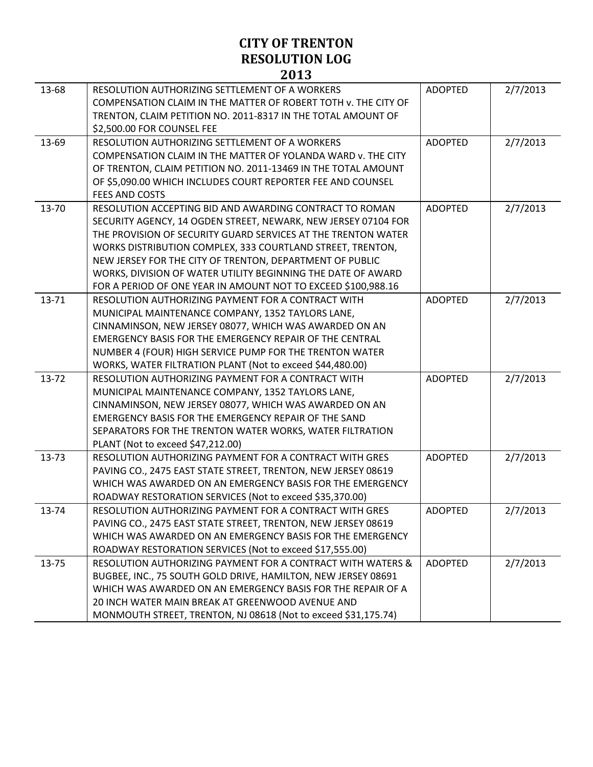|       | 60 LJ                                                                  |                |          |
|-------|------------------------------------------------------------------------|----------------|----------|
| 13-68 | RESOLUTION AUTHORIZING SETTLEMENT OF A WORKERS                         | <b>ADOPTED</b> | 2/7/2013 |
|       | COMPENSATION CLAIM IN THE MATTER OF ROBERT TOTH V. THE CITY OF         |                |          |
|       | TRENTON, CLAIM PETITION NO. 2011-8317 IN THE TOTAL AMOUNT OF           |                |          |
|       | \$2,500.00 FOR COUNSEL FEE                                             |                |          |
| 13-69 | RESOLUTION AUTHORIZING SETTLEMENT OF A WORKERS                         | <b>ADOPTED</b> | 2/7/2013 |
|       | COMPENSATION CLAIM IN THE MATTER OF YOLANDA WARD v. THE CITY           |                |          |
|       | OF TRENTON, CLAIM PETITION NO. 2011-13469 IN THE TOTAL AMOUNT          |                |          |
|       | OF \$5,090.00 WHICH INCLUDES COURT REPORTER FEE AND COUNSEL            |                |          |
|       | FEES AND COSTS                                                         |                |          |
| 13-70 | RESOLUTION ACCEPTING BID AND AWARDING CONTRACT TO ROMAN                | <b>ADOPTED</b> | 2/7/2013 |
|       | SECURITY AGENCY, 14 OGDEN STREET, NEWARK, NEW JERSEY 07104 FOR         |                |          |
|       | THE PROVISION OF SECURITY GUARD SERVICES AT THE TRENTON WATER          |                |          |
|       | WORKS DISTRIBUTION COMPLEX, 333 COURTLAND STREET, TRENTON,             |                |          |
|       | NEW JERSEY FOR THE CITY OF TRENTON, DEPARTMENT OF PUBLIC               |                |          |
|       | WORKS, DIVISION OF WATER UTILITY BEGINNING THE DATE OF AWARD           |                |          |
|       | FOR A PERIOD OF ONE YEAR IN AMOUNT NOT TO EXCEED \$100,988.16          |                |          |
| 13-71 | RESOLUTION AUTHORIZING PAYMENT FOR A CONTRACT WITH                     | <b>ADOPTED</b> | 2/7/2013 |
|       | MUNICIPAL MAINTENANCE COMPANY, 1352 TAYLORS LANE,                      |                |          |
|       | CINNAMINSON, NEW JERSEY 08077, WHICH WAS AWARDED ON AN                 |                |          |
|       | EMERGENCY BASIS FOR THE EMERGENCY REPAIR OF THE CENTRAL                |                |          |
|       | NUMBER 4 (FOUR) HIGH SERVICE PUMP FOR THE TRENTON WATER                |                |          |
|       | WORKS, WATER FILTRATION PLANT (Not to exceed \$44,480.00)              |                |          |
| 13-72 | RESOLUTION AUTHORIZING PAYMENT FOR A CONTRACT WITH                     | <b>ADOPTED</b> | 2/7/2013 |
|       | MUNICIPAL MAINTENANCE COMPANY, 1352 TAYLORS LANE,                      |                |          |
|       | CINNAMINSON, NEW JERSEY 08077, WHICH WAS AWARDED ON AN                 |                |          |
|       | EMERGENCY BASIS FOR THE EMERGENCY REPAIR OF THE SAND                   |                |          |
|       | SEPARATORS FOR THE TRENTON WATER WORKS, WATER FILTRATION               |                |          |
|       | PLANT (Not to exceed \$47,212.00)                                      |                |          |
| 13-73 | RESOLUTION AUTHORIZING PAYMENT FOR A CONTRACT WITH GRES                | <b>ADOPTED</b> | 2/7/2013 |
|       | PAVING CO., 2475 EAST STATE STREET, TRENTON, NEW JERSEY 08619          |                |          |
|       | WHICH WAS AWARDED ON AN EMERGENCY BASIS FOR THE EMERGENCY              |                |          |
|       | ROADWAY RESTORATION SERVICES (Not to exceed \$35,370.00)               |                |          |
| 13-74 | RESOLUTION AUTHORIZING PAYMENT FOR A CONTRACT WITH GRES                | <b>ADOPTED</b> | 2/7/2013 |
|       | PAVING CO., 2475 EAST STATE STREET, TRENTON, NEW JERSEY 08619          |                |          |
|       | WHICH WAS AWARDED ON AN EMERGENCY BASIS FOR THE EMERGENCY              |                |          |
|       | ROADWAY RESTORATION SERVICES (Not to exceed \$17,555.00)               |                |          |
| 13-75 | <b>RESOLUTION AUTHORIZING PAYMENT FOR A CONTRACT WITH WATERS &amp;</b> | <b>ADOPTED</b> | 2/7/2013 |
|       | BUGBEE, INC., 75 SOUTH GOLD DRIVE, HAMILTON, NEW JERSEY 08691          |                |          |
|       | WHICH WAS AWARDED ON AN EMERGENCY BASIS FOR THE REPAIR OF A            |                |          |
|       | 20 INCH WATER MAIN BREAK AT GREENWOOD AVENUE AND                       |                |          |
|       | MONMOUTH STREET, TRENTON, NJ 08618 (Not to exceed \$31,175.74)         |                |          |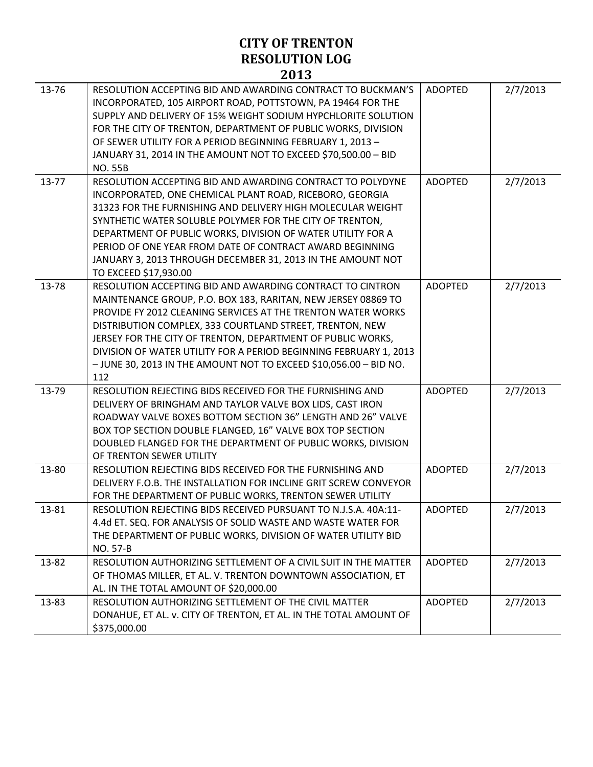| 13-76 | RESOLUTION ACCEPTING BID AND AWARDING CONTRACT TO BUCKMAN'S<br>INCORPORATED, 105 AIRPORT ROAD, POTTSTOWN, PA 19464 FOR THE<br>SUPPLY AND DELIVERY OF 15% WEIGHT SODIUM HYPCHLORITE SOLUTION<br>FOR THE CITY OF TRENTON, DEPARTMENT OF PUBLIC WORKS, DIVISION<br>OF SEWER UTILITY FOR A PERIOD BEGINNING FEBRUARY 1, 2013 -<br>JANUARY 31, 2014 IN THE AMOUNT NOT TO EXCEED \$70,500.00 - BID<br><b>NO. 55B</b>                                                         | <b>ADOPTED</b> | 2/7/2013 |
|-------|------------------------------------------------------------------------------------------------------------------------------------------------------------------------------------------------------------------------------------------------------------------------------------------------------------------------------------------------------------------------------------------------------------------------------------------------------------------------|----------------|----------|
| 13-77 | RESOLUTION ACCEPTING BID AND AWARDING CONTRACT TO POLYDYNE<br>INCORPORATED, ONE CHEMICAL PLANT ROAD, RICEBORO, GEORGIA<br>31323 FOR THE FURNISHING AND DELIVERY HIGH MOLECULAR WEIGHT<br>SYNTHETIC WATER SOLUBLE POLYMER FOR THE CITY OF TRENTON,<br>DEPARTMENT OF PUBLIC WORKS, DIVISION OF WATER UTILITY FOR A<br>PERIOD OF ONE YEAR FROM DATE OF CONTRACT AWARD BEGINNING<br>JANUARY 3, 2013 THROUGH DECEMBER 31, 2013 IN THE AMOUNT NOT<br>TO EXCEED \$17,930.00   | <b>ADOPTED</b> | 2/7/2013 |
| 13-78 | RESOLUTION ACCEPTING BID AND AWARDING CONTRACT TO CINTRON<br>MAINTENANCE GROUP, P.O. BOX 183, RARITAN, NEW JERSEY 08869 TO<br>PROVIDE FY 2012 CLEANING SERVICES AT THE TRENTON WATER WORKS<br>DISTRIBUTION COMPLEX, 333 COURTLAND STREET, TRENTON, NEW<br>JERSEY FOR THE CITY OF TRENTON, DEPARTMENT OF PUBLIC WORKS,<br>DIVISION OF WATER UTILITY FOR A PERIOD BEGINNING FEBRUARY 1, 2013<br>- JUNE 30, 2013 IN THE AMOUNT NOT TO EXCEED \$10,056.00 - BID NO.<br>112 | <b>ADOPTED</b> | 2/7/2013 |
| 13-79 | RESOLUTION REJECTING BIDS RECEIVED FOR THE FURNISHING AND<br>DELIVERY OF BRINGHAM AND TAYLOR VALVE BOX LIDS, CAST IRON<br>ROADWAY VALVE BOXES BOTTOM SECTION 36" LENGTH AND 26" VALVE<br>BOX TOP SECTION DOUBLE FLANGED, 16" VALVE BOX TOP SECTION<br>DOUBLED FLANGED FOR THE DEPARTMENT OF PUBLIC WORKS, DIVISION<br>OF TRENTON SEWER UTILITY                                                                                                                         | <b>ADOPTED</b> | 2/7/2013 |
| 13-80 | RESOLUTION REJECTING BIDS RECEIVED FOR THE FURNISHING AND<br>DELIVERY F.O.B. THE INSTALLATION FOR INCLINE GRIT SCREW CONVEYOR<br>FOR THE DEPARTMENT OF PUBLIC WORKS, TRENTON SEWER UTILITY                                                                                                                                                                                                                                                                             | <b>ADOPTED</b> | 2/7/2013 |
| 13-81 | RESOLUTION REJECTING BIDS RECEIVED PURSUANT TO N.J.S.A. 40A:11-<br>4.4d ET. SEQ. FOR ANALYSIS OF SOLID WASTE AND WASTE WATER FOR<br>THE DEPARTMENT OF PUBLIC WORKS, DIVISION OF WATER UTILITY BID<br>NO. 57-B                                                                                                                                                                                                                                                          | <b>ADOPTED</b> | 2/7/2013 |
| 13-82 | RESOLUTION AUTHORIZING SETTLEMENT OF A CIVIL SUIT IN THE MATTER<br>OF THOMAS MILLER, ET AL. V. TRENTON DOWNTOWN ASSOCIATION, ET<br>AL. IN THE TOTAL AMOUNT OF \$20,000.00                                                                                                                                                                                                                                                                                              | <b>ADOPTED</b> | 2/7/2013 |
| 13-83 | RESOLUTION AUTHORIZING SETTLEMENT OF THE CIVIL MATTER<br>DONAHUE, ET AL. v. CITY OF TRENTON, ET AL. IN THE TOTAL AMOUNT OF<br>\$375,000.00                                                                                                                                                                                                                                                                                                                             | <b>ADOPTED</b> | 2/7/2013 |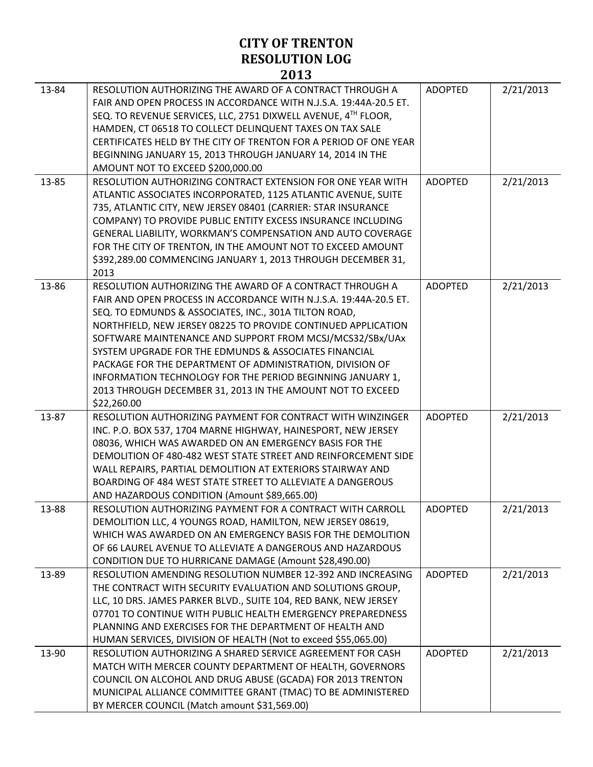| 13-84 | RESOLUTION AUTHORIZING THE AWARD OF A CONTRACT THROUGH A<br>FAIR AND OPEN PROCESS IN ACCORDANCE WITH N.J.S.A. 19:44A-20.5 ET. | <b>ADOPTED</b> | 2/21/2013 |
|-------|-------------------------------------------------------------------------------------------------------------------------------|----------------|-----------|
|       | SEQ. TO REVENUE SERVICES, LLC, 2751 DIXWELL AVENUE, 4TH FLOOR,<br>HAMDEN, CT 06518 TO COLLECT DELINQUENT TAXES ON TAX SALE    |                |           |
|       | CERTIFICATES HELD BY THE CITY OF TRENTON FOR A PERIOD OF ONE YEAR                                                             |                |           |
|       | BEGINNING JANUARY 15, 2013 THROUGH JANUARY 14, 2014 IN THE                                                                    |                |           |
|       | AMOUNT NOT TO EXCEED \$200,000.00                                                                                             |                |           |
| 13-85 | RESOLUTION AUTHORIZING CONTRACT EXTENSION FOR ONE YEAR WITH                                                                   | <b>ADOPTED</b> | 2/21/2013 |
|       | ATLANTIC ASSOCIATES INCORPORATED, 1125 ATLANTIC AVENUE, SUITE                                                                 |                |           |
|       | 735, ATLANTIC CITY, NEW JERSEY 08401 (CARRIER: STAR INSURANCE                                                                 |                |           |
|       | COMPANY) TO PROVIDE PUBLIC ENTITY EXCESS INSURANCE INCLUDING                                                                  |                |           |
|       | GENERAL LIABILITY, WORKMAN'S COMPENSATION AND AUTO COVERAGE                                                                   |                |           |
|       | FOR THE CITY OF TRENTON, IN THE AMOUNT NOT TO EXCEED AMOUNT                                                                   |                |           |
|       | \$392,289.00 COMMENCING JANUARY 1, 2013 THROUGH DECEMBER 31,<br>2013                                                          |                |           |
| 13-86 | RESOLUTION AUTHORIZING THE AWARD OF A CONTRACT THROUGH A                                                                      | <b>ADOPTED</b> | 2/21/2013 |
|       | FAIR AND OPEN PROCESS IN ACCORDANCE WITH N.J.S.A. 19:44A-20.5 ET.                                                             |                |           |
|       | SEQ. TO EDMUNDS & ASSOCIATES, INC., 301A TILTON ROAD,                                                                         |                |           |
|       | NORTHFIELD, NEW JERSEY 08225 TO PROVIDE CONTINUED APPLICATION                                                                 |                |           |
|       | SOFTWARE MAINTENANCE AND SUPPORT FROM MCSJ/MCS32/SBx/UAx                                                                      |                |           |
|       | SYSTEM UPGRADE FOR THE EDMUNDS & ASSOCIATES FINANCIAL                                                                         |                |           |
|       | PACKAGE FOR THE DEPARTMENT OF ADMINISTRATION, DIVISION OF                                                                     |                |           |
|       | INFORMATION TECHNOLOGY FOR THE PERIOD BEGINNING JANUARY 1,                                                                    |                |           |
|       | 2013 THROUGH DECEMBER 31, 2013 IN THE AMOUNT NOT TO EXCEED                                                                    |                |           |
| 13-87 | \$22,260.00<br>RESOLUTION AUTHORIZING PAYMENT FOR CONTRACT WITH WINZINGER                                                     | <b>ADOPTED</b> | 2/21/2013 |
|       | INC. P.O. BOX 537, 1704 MARNE HIGHWAY, HAINESPORT, NEW JERSEY                                                                 |                |           |
|       | 08036, WHICH WAS AWARDED ON AN EMERGENCY BASIS FOR THE                                                                        |                |           |
|       | DEMOLITION OF 480-482 WEST STATE STREET AND REINFORCEMENT SIDE                                                                |                |           |
|       | WALL REPAIRS, PARTIAL DEMOLITION AT EXTERIORS STAIRWAY AND                                                                    |                |           |
|       | BOARDING OF 484 WEST STATE STREET TO ALLEVIATE A DANGEROUS                                                                    |                |           |
|       | AND HAZARDOUS CONDITION (Amount \$89,665.00)                                                                                  |                |           |
| 13-88 | RESOLUTION AUTHORIZING PAYMENT FOR A CONTRACT WITH CARROLL                                                                    | <b>ADOPTED</b> | 2/21/2013 |
|       | DEMOLITION LLC, 4 YOUNGS ROAD, HAMILTON, NEW JERSEY 08619,                                                                    |                |           |
|       | WHICH WAS AWARDED ON AN EMERGENCY BASIS FOR THE DEMOLITION                                                                    |                |           |
|       | OF 66 LAUREL AVENUE TO ALLEVIATE A DANGEROUS AND HAZARDOUS                                                                    |                |           |
| 13-89 | CONDITION DUE TO HURRICANE DAMAGE (Amount \$28,490.00)<br>RESOLUTION AMENDING RESOLUTION NUMBER 12-392 AND INCREASING         |                |           |
|       | THE CONTRACT WITH SECURITY EVALUATION AND SOLUTIONS GROUP,                                                                    | <b>ADOPTED</b> | 2/21/2013 |
|       | LLC, 10 DRS. JAMES PARKER BLVD., SUITE 104, RED BANK, NEW JERSEY                                                              |                |           |
|       | 07701 TO CONTINUE WITH PUBLIC HEALTH EMERGENCY PREPAREDNESS                                                                   |                |           |
|       | PLANNING AND EXERCISES FOR THE DEPARTMENT OF HEALTH AND                                                                       |                |           |
|       | HUMAN SERVICES, DIVISION OF HEALTH (Not to exceed \$55,065.00)                                                                |                |           |
| 13-90 | RESOLUTION AUTHORIZING A SHARED SERVICE AGREEMENT FOR CASH                                                                    | <b>ADOPTED</b> | 2/21/2013 |
|       | MATCH WITH MERCER COUNTY DEPARTMENT OF HEALTH, GOVERNORS                                                                      |                |           |
|       | COUNCIL ON ALCOHOL AND DRUG ABUSE (GCADA) FOR 2013 TRENTON                                                                    |                |           |
|       | MUNICIPAL ALLIANCE COMMITTEE GRANT (TMAC) TO BE ADMINISTERED                                                                  |                |           |
|       | BY MERCER COUNCIL (Match amount \$31,569.00)                                                                                  |                |           |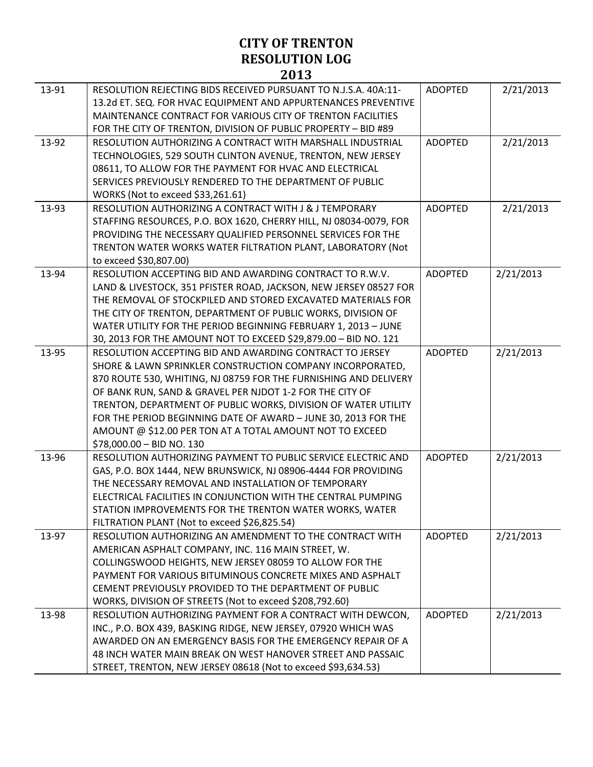| 13-91 | RESOLUTION REJECTING BIDS RECEIVED PURSUANT TO N.J.S.A. 40A:11-<br>13.2d ET. SEQ. FOR HVAC EQUIPMENT AND APPURTENANCES PREVENTIVE<br>MAINTENANCE CONTRACT FOR VARIOUS CITY OF TRENTON FACILITIES<br>FOR THE CITY OF TRENTON, DIVISION OF PUBLIC PROPERTY - BID #89                                                                                                                                                                                                                 | <b>ADOPTED</b> | 2/21/2013 |
|-------|------------------------------------------------------------------------------------------------------------------------------------------------------------------------------------------------------------------------------------------------------------------------------------------------------------------------------------------------------------------------------------------------------------------------------------------------------------------------------------|----------------|-----------|
| 13-92 | RESOLUTION AUTHORIZING A CONTRACT WITH MARSHALL INDUSTRIAL<br>TECHNOLOGIES, 529 SOUTH CLINTON AVENUE, TRENTON, NEW JERSEY<br>08611, TO ALLOW FOR THE PAYMENT FOR HVAC AND ELECTRICAL<br>SERVICES PREVIOUSLY RENDERED TO THE DEPARTMENT OF PUBLIC<br>WORKS (Not to exceed \$33,261.61)                                                                                                                                                                                              | <b>ADOPTED</b> | 2/21/2013 |
| 13-93 | RESOLUTION AUTHORIZING A CONTRACT WITH J & J TEMPORARY<br>STAFFING RESOURCES, P.O. BOX 1620, CHERRY HILL, NJ 08034-0079, FOR<br>PROVIDING THE NECESSARY QUALIFIED PERSONNEL SERVICES FOR THE<br>TRENTON WATER WORKS WATER FILTRATION PLANT, LABORATORY (Not<br>to exceed \$30,807.00)                                                                                                                                                                                              | <b>ADOPTED</b> | 2/21/2013 |
| 13-94 | RESOLUTION ACCEPTING BID AND AWARDING CONTRACT TO R.W.V.<br>LAND & LIVESTOCK, 351 PFISTER ROAD, JACKSON, NEW JERSEY 08527 FOR<br>THE REMOVAL OF STOCKPILED AND STORED EXCAVATED MATERIALS FOR<br>THE CITY OF TRENTON, DEPARTMENT OF PUBLIC WORKS, DIVISION OF<br>WATER UTILITY FOR THE PERIOD BEGINNING FEBRUARY 1, 2013 - JUNE<br>30, 2013 FOR THE AMOUNT NOT TO EXCEED \$29,879.00 - BID NO. 121                                                                                 | <b>ADOPTED</b> | 2/21/2013 |
| 13-95 | RESOLUTION ACCEPTING BID AND AWARDING CONTRACT TO JERSEY<br>SHORE & LAWN SPRINKLER CONSTRUCTION COMPANY INCORPORATED,<br>870 ROUTE 530, WHITING, NJ 08759 FOR THE FURNISHING AND DELIVERY<br>OF BANK RUN, SAND & GRAVEL PER NJDOT 1-2 FOR THE CITY OF<br>TRENTON, DEPARTMENT OF PUBLIC WORKS, DIVISION OF WATER UTILITY<br>FOR THE PERIOD BEGINNING DATE OF AWARD - JUNE 30, 2013 FOR THE<br>AMOUNT @ \$12.00 PER TON AT A TOTAL AMOUNT NOT TO EXCEED<br>\$78,000.00 - BID NO. 130 | <b>ADOPTED</b> | 2/21/2013 |
| 13-96 | RESOLUTION AUTHORIZING PAYMENT TO PUBLIC SERVICE ELECTRIC AND<br>GAS, P.O. BOX 1444, NEW BRUNSWICK, NJ 08906-4444 FOR PROVIDING<br>THE NECESSARY REMOVAL AND INSTALLATION OF TEMPORARY<br>ELECTRICAL FACILITIES IN CONJUNCTION WITH THE CENTRAL PUMPING<br>STATION IMPROVEMENTS FOR THE TRENTON WATER WORKS, WATER<br>FILTRATION PLANT (Not to exceed \$26,825.54)                                                                                                                 | <b>ADOPTED</b> | 2/21/2013 |
| 13-97 | RESOLUTION AUTHORIZING AN AMENDMENT TO THE CONTRACT WITH<br>AMERICAN ASPHALT COMPANY, INC. 116 MAIN STREET, W.<br>COLLINGSWOOD HEIGHTS, NEW JERSEY 08059 TO ALLOW FOR THE<br>PAYMENT FOR VARIOUS BITUMINOUS CONCRETE MIXES AND ASPHALT<br>CEMENT PREVIOUSLY PROVIDED TO THE DEPARTMENT OF PUBLIC<br>WORKS, DIVISION OF STREETS (Not to exceed \$208,792.60)                                                                                                                        | <b>ADOPTED</b> | 2/21/2013 |
| 13-98 | RESOLUTION AUTHORIZING PAYMENT FOR A CONTRACT WITH DEWCON,<br>INC., P.O. BOX 439, BASKING RIDGE, NEW JERSEY, 07920 WHICH WAS<br>AWARDED ON AN EMERGENCY BASIS FOR THE EMERGENCY REPAIR OF A<br>48 INCH WATER MAIN BREAK ON WEST HANOVER STREET AND PASSAIC<br>STREET, TRENTON, NEW JERSEY 08618 (Not to exceed \$93,634.53)                                                                                                                                                        | <b>ADOPTED</b> | 2/21/2013 |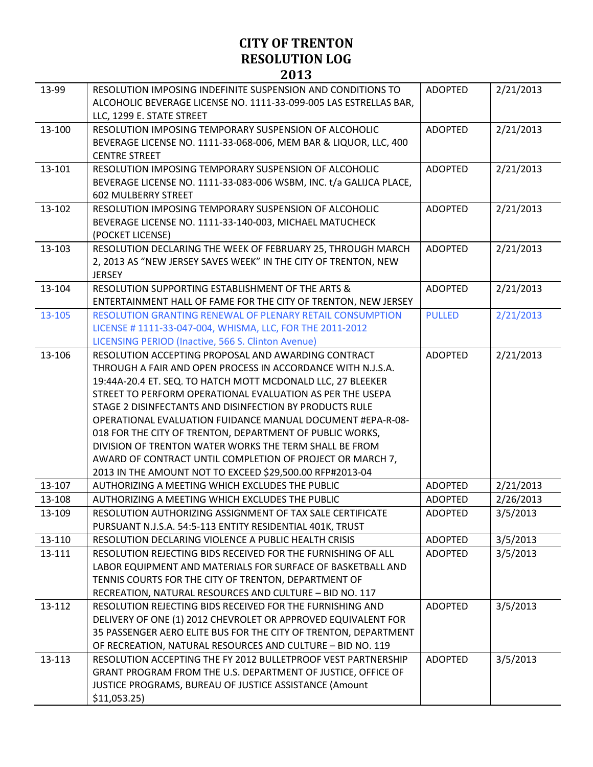| 13-99  | RESOLUTION IMPOSING INDEFINITE SUSPENSION AND CONDITIONS TO<br>ALCOHOLIC BEVERAGE LICENSE NO. 1111-33-099-005 LAS ESTRELLAS BAR, | <b>ADOPTED</b> | 2/21/2013 |
|--------|----------------------------------------------------------------------------------------------------------------------------------|----------------|-----------|
|        | LLC, 1299 E. STATE STREET                                                                                                        |                |           |
| 13-100 | RESOLUTION IMPOSING TEMPORARY SUSPENSION OF ALCOHOLIC                                                                            | <b>ADOPTED</b> | 2/21/2013 |
|        | BEVERAGE LICENSE NO. 1111-33-068-006, MEM BAR & LIQUOR, LLC, 400                                                                 |                |           |
|        | <b>CENTRE STREET</b>                                                                                                             |                |           |
| 13-101 | RESOLUTION IMPOSING TEMPORARY SUSPENSION OF ALCOHOLIC                                                                            | <b>ADOPTED</b> | 2/21/2013 |
|        | BEVERAGE LICENSE NO. 1111-33-083-006 WSBM, INC. t/a GALIJCA PLACE,                                                               |                |           |
|        | <b>602 MULBERRY STREET</b>                                                                                                       |                |           |
| 13-102 | RESOLUTION IMPOSING TEMPORARY SUSPENSION OF ALCOHOLIC                                                                            | <b>ADOPTED</b> | 2/21/2013 |
|        | BEVERAGE LICENSE NO. 1111-33-140-003, MICHAEL MATUCHECK                                                                          |                |           |
|        | (POCKET LICENSE)                                                                                                                 |                |           |
| 13-103 | RESOLUTION DECLARING THE WEEK OF FEBRUARY 25, THROUGH MARCH                                                                      | <b>ADOPTED</b> | 2/21/2013 |
|        | 2, 2013 AS "NEW JERSEY SAVES WEEK" IN THE CITY OF TRENTON, NEW                                                                   |                |           |
|        | <b>JERSEY</b>                                                                                                                    |                |           |
| 13-104 | RESOLUTION SUPPORTING ESTABLISHMENT OF THE ARTS &                                                                                | <b>ADOPTED</b> | 2/21/2013 |
|        | ENTERTAINMENT HALL OF FAME FOR THE CITY OF TRENTON, NEW JERSEY                                                                   |                |           |
| 13-105 | RESOLUTION GRANTING RENEWAL OF PLENARY RETAIL CONSUMPTION                                                                        | <b>PULLED</b>  | 2/21/2013 |
|        | LICENSE #1111-33-047-004, WHISMA, LLC, FOR THE 2011-2012                                                                         |                |           |
|        | LICENSING PERIOD (Inactive, 566 S. Clinton Avenue)                                                                               |                |           |
| 13-106 | RESOLUTION ACCEPTING PROPOSAL AND AWARDING CONTRACT                                                                              | <b>ADOPTED</b> | 2/21/2013 |
|        | THROUGH A FAIR AND OPEN PROCESS IN ACCORDANCE WITH N.J.S.A.                                                                      |                |           |
|        | 19:44A-20.4 ET. SEQ. TO HATCH MOTT MCDONALD LLC, 27 BLEEKER                                                                      |                |           |
|        | STREET TO PERFORM OPERATIONAL EVALUATION AS PER THE USEPA                                                                        |                |           |
|        | STAGE 2 DISINFECTANTS AND DISINFECTION BY PRODUCTS RULE                                                                          |                |           |
|        | OPERATIONAL EVALUATION FUIDANCE MANUAL DOCUMENT #EPA-R-08-                                                                       |                |           |
|        | 018 FOR THE CITY OF TRENTON, DEPARTMENT OF PUBLIC WORKS,                                                                         |                |           |
|        | DIVISION OF TRENTON WATER WORKS THE TERM SHALL BE FROM                                                                           |                |           |
|        | AWARD OF CONTRACT UNTIL COMPLETION OF PROJECT OR MARCH 7,                                                                        |                |           |
|        | 2013 IN THE AMOUNT NOT TO EXCEED \$29,500.00 RFP#2013-04                                                                         |                |           |
| 13-107 | AUTHORIZING A MEETING WHICH EXCLUDES THE PUBLIC                                                                                  | <b>ADOPTED</b> | 2/21/2013 |
| 13-108 | AUTHORIZING A MEETING WHICH EXCLUDES THE PUBLIC                                                                                  | <b>ADOPTED</b> | 2/26/2013 |
| 13-109 | RESOLUTION AUTHORIZING ASSIGNMENT OF TAX SALE CERTIFICATE                                                                        | <b>ADOPTED</b> | 3/5/2013  |
|        | PURSUANT N.J.S.A. 54:5-113 ENTITY RESIDENTIAL 401K, TRUST                                                                        |                |           |
| 13-110 | RESOLUTION DECLARING VIOLENCE A PUBLIC HEALTH CRISIS                                                                             | <b>ADOPTED</b> | 3/5/2013  |
| 13-111 | RESOLUTION REJECTING BIDS RECEIVED FOR THE FURNISHING OF ALL                                                                     | <b>ADOPTED</b> | 3/5/2013  |
|        | LABOR EQUIPMENT AND MATERIALS FOR SURFACE OF BASKETBALL AND                                                                      |                |           |
|        | TENNIS COURTS FOR THE CITY OF TRENTON, DEPARTMENT OF                                                                             |                |           |
|        | RECREATION, NATURAL RESOURCES AND CULTURE - BID NO. 117                                                                          |                |           |
| 13-112 | RESOLUTION REJECTING BIDS RECEIVED FOR THE FURNISHING AND                                                                        | <b>ADOPTED</b> | 3/5/2013  |
|        | DELIVERY OF ONE (1) 2012 CHEVROLET OR APPROVED EQUIVALENT FOR                                                                    |                |           |
|        | 35 PASSENGER AERO ELITE BUS FOR THE CITY OF TRENTON, DEPARTMENT                                                                  |                |           |
|        | OF RECREATION, NATURAL RESOURCES AND CULTURE - BID NO. 119                                                                       |                |           |
| 13-113 | RESOLUTION ACCEPTING THE FY 2012 BULLETPROOF VEST PARTNERSHIP                                                                    | <b>ADOPTED</b> | 3/5/2013  |
|        | GRANT PROGRAM FROM THE U.S. DEPARTMENT OF JUSTICE, OFFICE OF                                                                     |                |           |
|        | JUSTICE PROGRAMS, BUREAU OF JUSTICE ASSISTANCE (Amount                                                                           |                |           |
|        | \$11,053.25                                                                                                                      |                |           |
|        |                                                                                                                                  |                |           |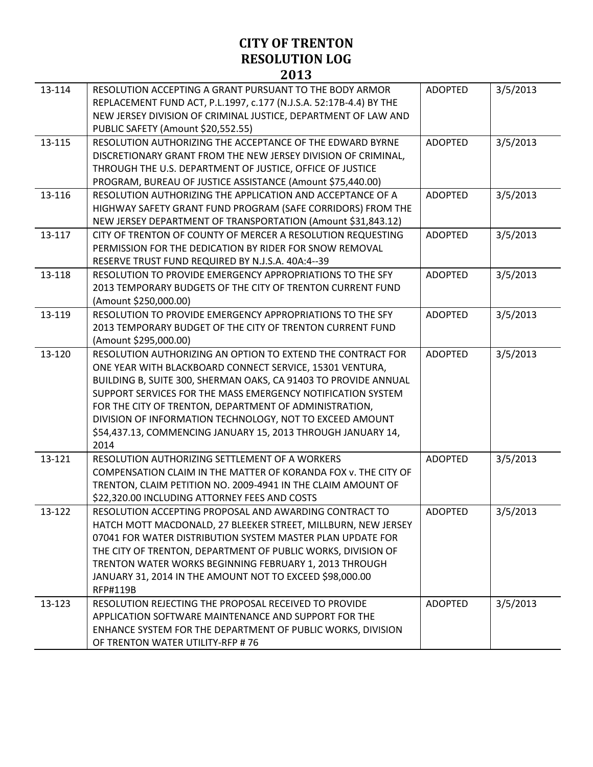| 13-114 | RESOLUTION ACCEPTING A GRANT PURSUANT TO THE BODY ARMOR<br>REPLACEMENT FUND ACT, P.L.1997, c.177 (N.J.S.A. 52:17B-4.4) BY THE<br>NEW JERSEY DIVISION OF CRIMINAL JUSTICE, DEPARTMENT OF LAW AND<br>PUBLIC SAFETY (Amount \$20,552.55)                                                                                                                                                                                                                   | <b>ADOPTED</b> | 3/5/2013 |
|--------|---------------------------------------------------------------------------------------------------------------------------------------------------------------------------------------------------------------------------------------------------------------------------------------------------------------------------------------------------------------------------------------------------------------------------------------------------------|----------------|----------|
| 13-115 | RESOLUTION AUTHORIZING THE ACCEPTANCE OF THE EDWARD BYRNE<br>DISCRETIONARY GRANT FROM THE NEW JERSEY DIVISION OF CRIMINAL,<br>THROUGH THE U.S. DEPARTMENT OF JUSTICE, OFFICE OF JUSTICE<br>PROGRAM, BUREAU OF JUSTICE ASSISTANCE (Amount \$75,440.00)                                                                                                                                                                                                   | <b>ADOPTED</b> | 3/5/2013 |
| 13-116 | RESOLUTION AUTHORIZING THE APPLICATION AND ACCEPTANCE OF A<br>HIGHWAY SAFETY GRANT FUND PROGRAM (SAFE CORRIDORS) FROM THE<br>NEW JERSEY DEPARTMENT OF TRANSPORTATION (Amount \$31,843.12)                                                                                                                                                                                                                                                               | <b>ADOPTED</b> | 3/5/2013 |
| 13-117 | CITY OF TRENTON OF COUNTY OF MERCER A RESOLUTION REQUESTING<br>PERMISSION FOR THE DEDICATION BY RIDER FOR SNOW REMOVAL<br>RESERVE TRUST FUND REQUIRED BY N.J.S.A. 40A:4--39                                                                                                                                                                                                                                                                             | <b>ADOPTED</b> | 3/5/2013 |
| 13-118 | RESOLUTION TO PROVIDE EMERGENCY APPROPRIATIONS TO THE SFY<br>2013 TEMPORARY BUDGETS OF THE CITY OF TRENTON CURRENT FUND<br>(Amount \$250,000.00)                                                                                                                                                                                                                                                                                                        | <b>ADOPTED</b> | 3/5/2013 |
| 13-119 | RESOLUTION TO PROVIDE EMERGENCY APPROPRIATIONS TO THE SFY<br>2013 TEMPORARY BUDGET OF THE CITY OF TRENTON CURRENT FUND<br>(Amount \$295,000.00)                                                                                                                                                                                                                                                                                                         | <b>ADOPTED</b> | 3/5/2013 |
| 13-120 | RESOLUTION AUTHORIZING AN OPTION TO EXTEND THE CONTRACT FOR<br>ONE YEAR WITH BLACKBOARD CONNECT SERVICE, 15301 VENTURA,<br>BUILDING B, SUITE 300, SHERMAN OAKS, CA 91403 TO PROVIDE ANNUAL<br>SUPPORT SERVICES FOR THE MASS EMERGENCY NOTIFICATION SYSTEM<br>FOR THE CITY OF TRENTON, DEPARTMENT OF ADMINISTRATION,<br>DIVISION OF INFORMATION TECHNOLOGY, NOT TO EXCEED AMOUNT<br>\$54,437.13, COMMENCING JANUARY 15, 2013 THROUGH JANUARY 14,<br>2014 | <b>ADOPTED</b> | 3/5/2013 |
| 13-121 | RESOLUTION AUTHORIZING SETTLEMENT OF A WORKERS<br>COMPENSATION CLAIM IN THE MATTER OF KORANDA FOX v. THE CITY OF<br>TRENTON, CLAIM PETITION NO. 2009-4941 IN THE CLAIM AMOUNT OF<br>\$22,320.00 INCLUDING ATTORNEY FEES AND COSTS                                                                                                                                                                                                                       | <b>ADOPTED</b> | 3/5/2013 |
| 13-122 | RESOLUTION ACCEPTING PROPOSAL AND AWARDING CONTRACT TO<br>HATCH MOTT MACDONALD, 27 BLEEKER STREET, MILLBURN, NEW JERSEY<br>07041 FOR WATER DISTRIBUTION SYSTEM MASTER PLAN UPDATE FOR<br>THE CITY OF TRENTON, DEPARTMENT OF PUBLIC WORKS, DIVISION OF<br>TRENTON WATER WORKS BEGINNING FEBRUARY 1, 2013 THROUGH<br>JANUARY 31, 2014 IN THE AMOUNT NOT TO EXCEED \$98,000.00<br><b>RFP#119B</b>                                                          | <b>ADOPTED</b> | 3/5/2013 |
| 13-123 | RESOLUTION REJECTING THE PROPOSAL RECEIVED TO PROVIDE<br>APPLICATION SOFTWARE MAINTENANCE AND SUPPORT FOR THE<br>ENHANCE SYSTEM FOR THE DEPARTMENT OF PUBLIC WORKS, DIVISION<br>OF TRENTON WATER UTILITY-RFP #76                                                                                                                                                                                                                                        | <b>ADOPTED</b> | 3/5/2013 |